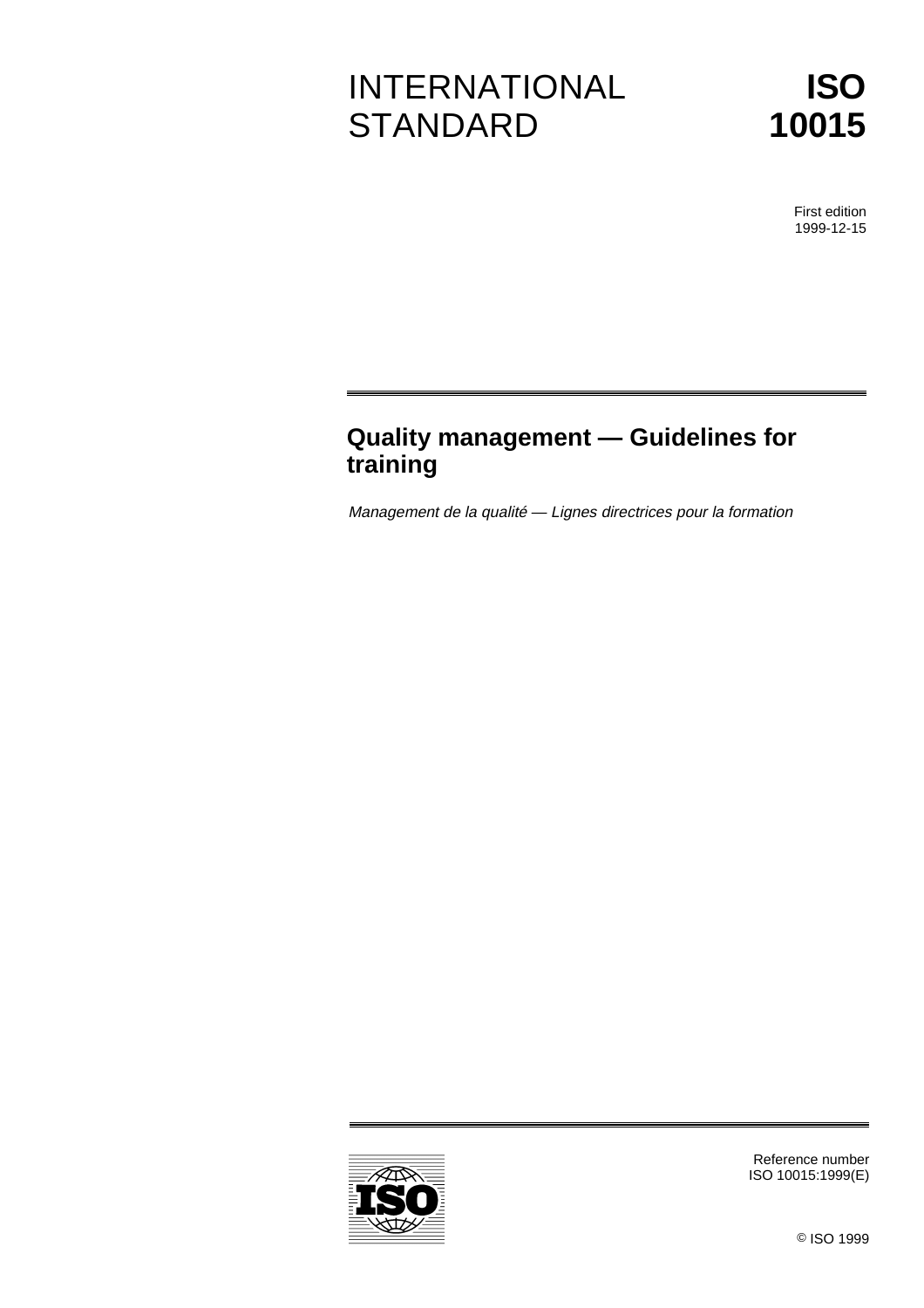# INTERNATIONAL **STANDARD**

**ISO 10015**

> First edition 1999-12-15

# **Quality management — Guidelines for training**

Management de la qualité — Lignes directrices pour la formation



Reference number ISO 10015:1999(E)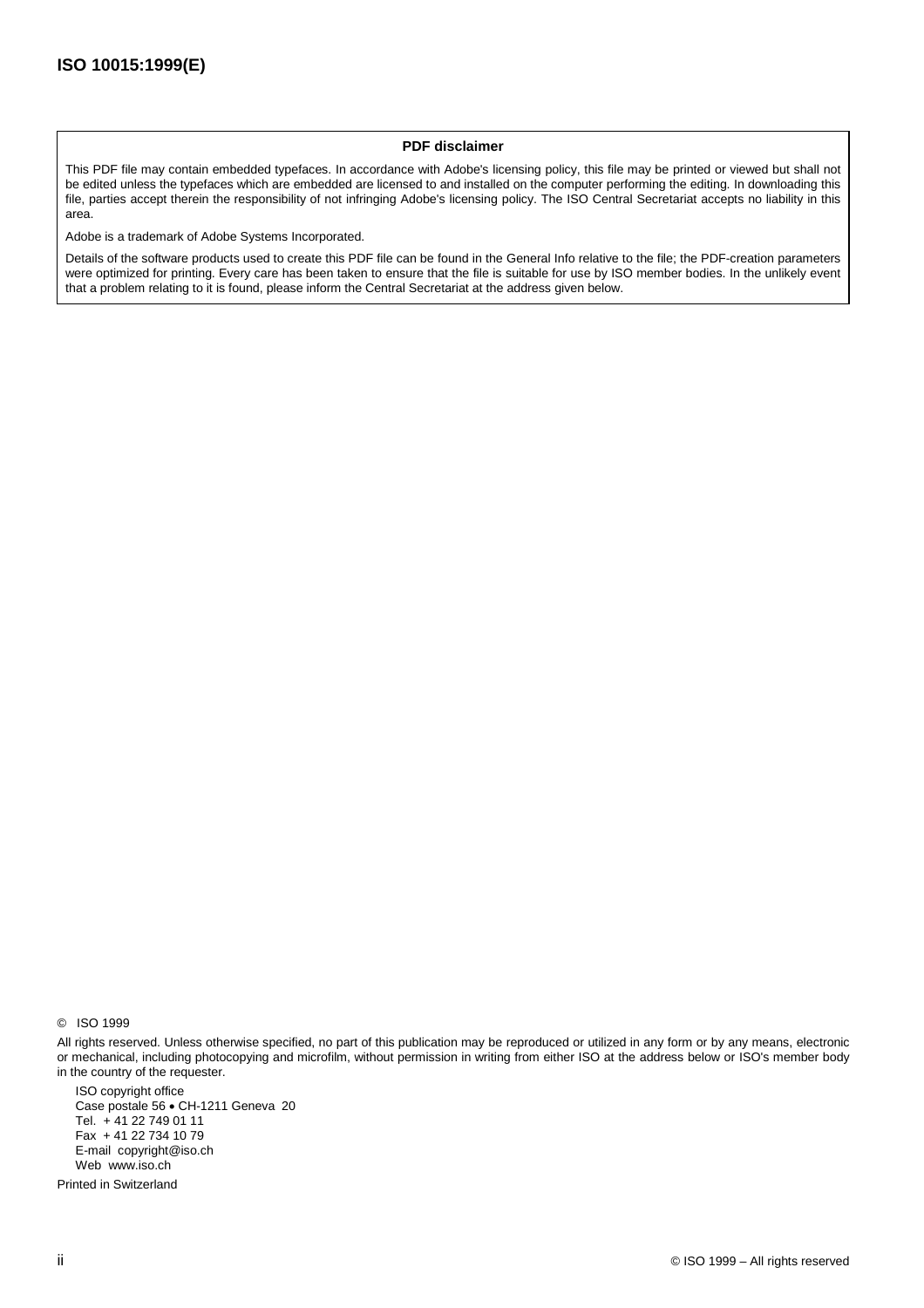#### **PDF disclaimer**

This PDF file may contain embedded typefaces. In accordance with Adobe's licensing policy, this file may be printed or viewed but shall not be edited unless the typefaces which are embedded are licensed to and installed on the computer performing the editing. In downloading this file, parties accept therein the responsibility of not infringing Adobe's licensing policy. The ISO Central Secretariat accepts no liability in this area.

Adobe is a trademark of Adobe Systems Incorporated.

Details of the software products used to create this PDF file can be found in the General Info relative to the file; the PDF-creation parameters were optimized for printing. Every care has been taken to ensure that the file is suitable for use by ISO member bodies. In the unlikely event that a problem relating to it is found, please inform the Central Secretariat at the address given below.

© ISO 1999

All rights reserved. Unless otherwise specified, no part of this publication may be reproduced or utilized in any form or by any means, electronic or mechanical, including photocopying and microfilm, without permission in writing from either ISO at the address below or ISO's member body in the country of the requester.

ISO copyright office Case postale 56 · CH-1211 Geneva 20 Tel. + 41 22 749 01 11 Fax + 41 22 734 10 79 E-mail copyright@iso.ch Web www.iso.ch

Printed in Switzerland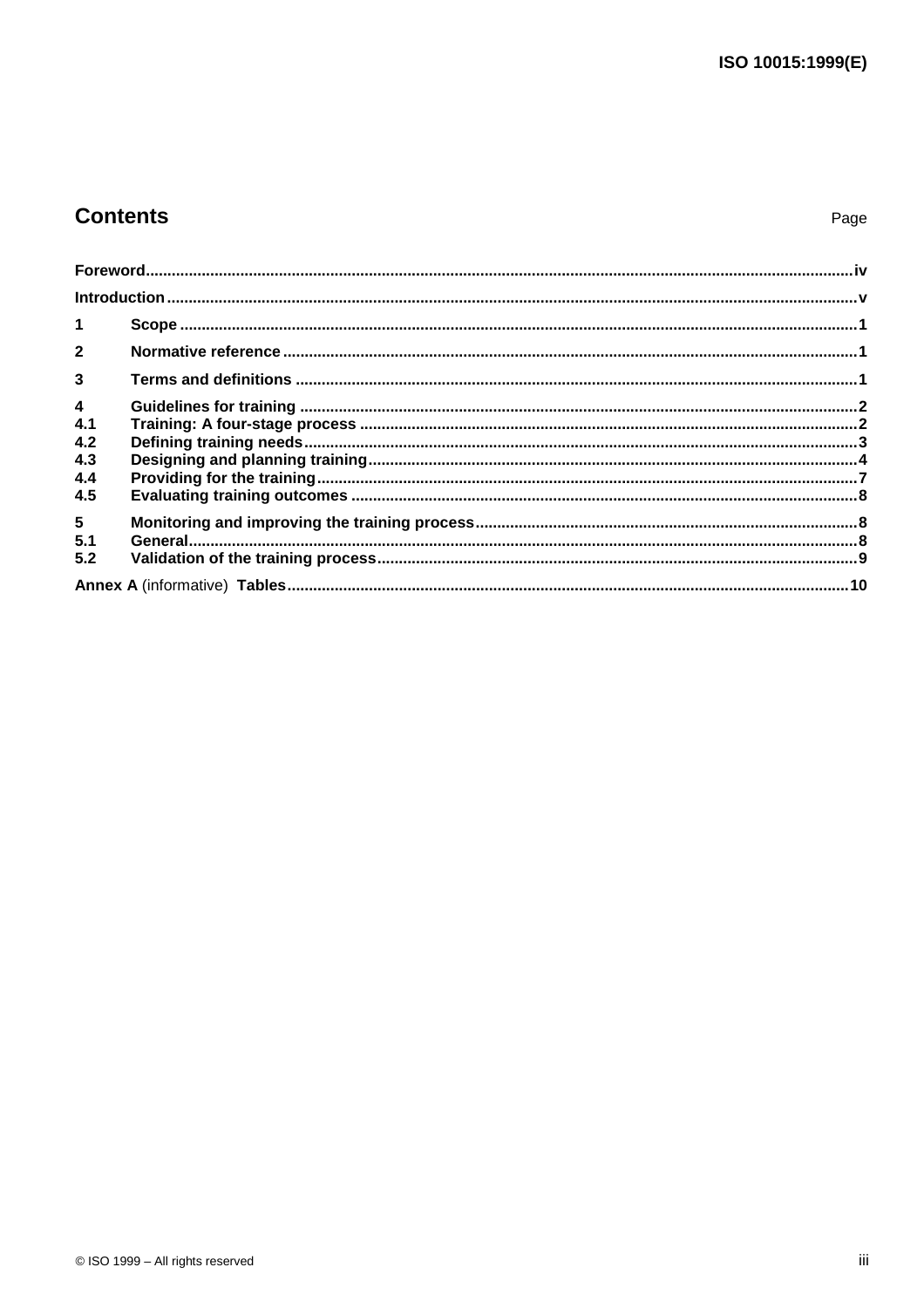# **Contents**

| $\mathbf{1}$            |  |  |  |  |  |
|-------------------------|--|--|--|--|--|
| $\overline{2}$          |  |  |  |  |  |
| $\overline{\mathbf{3}}$ |  |  |  |  |  |
| $\overline{\mathbf{4}}$ |  |  |  |  |  |
| 4.1                     |  |  |  |  |  |
| 4.2                     |  |  |  |  |  |
| 4.3                     |  |  |  |  |  |
| 4.4                     |  |  |  |  |  |
| 4.5                     |  |  |  |  |  |
| $5\phantom{.0}$         |  |  |  |  |  |
| 5.1                     |  |  |  |  |  |
| 5.2                     |  |  |  |  |  |
|                         |  |  |  |  |  |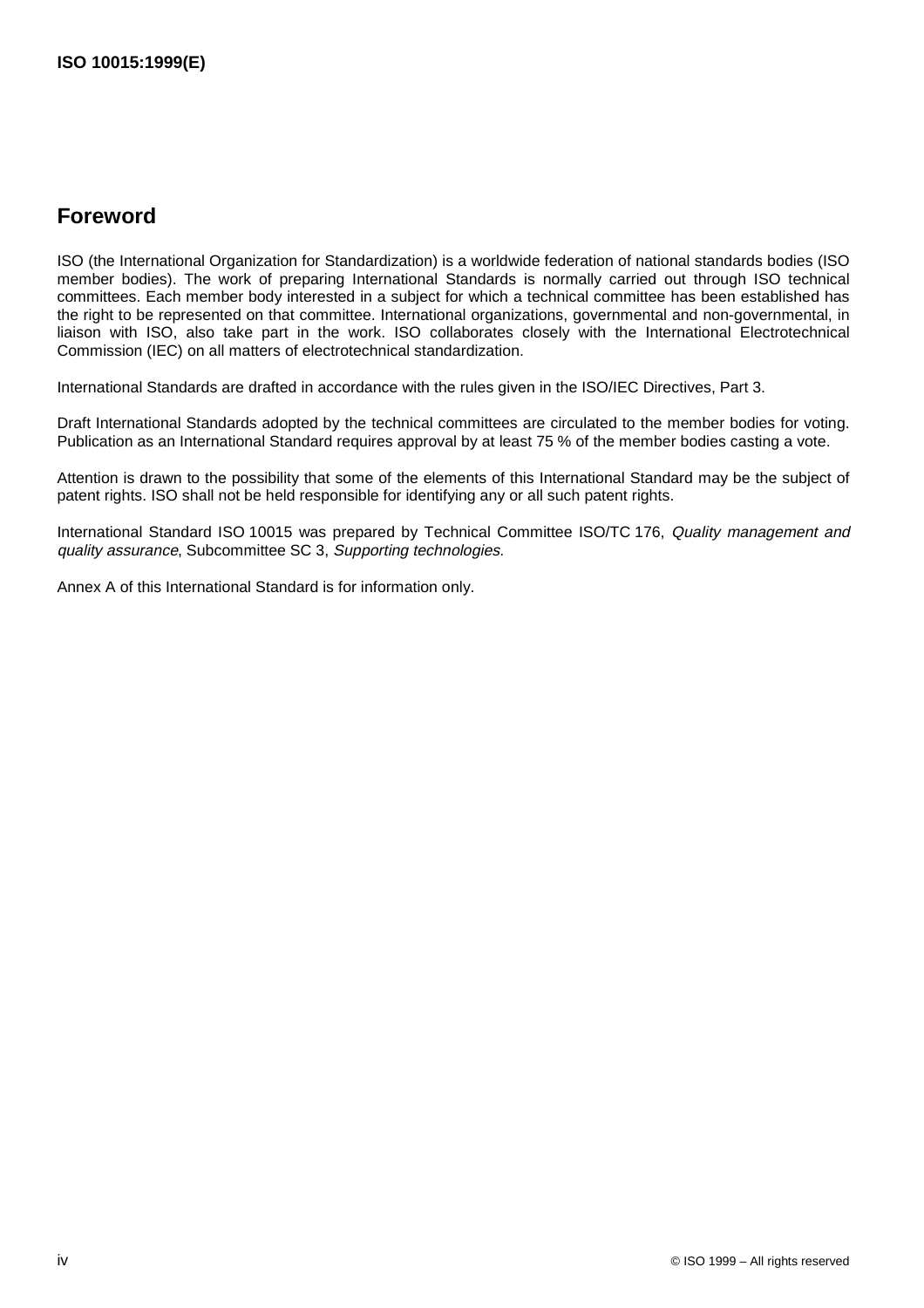# **Foreword**

ISO (the International Organization for Standardization) is a worldwide federation of national standards bodies (ISO member bodies). The work of preparing International Standards is normally carried out through ISO technical committees. Each member body interested in a subject for which a technical committee has been established has the right to be represented on that committee. International organizations, governmental and non-governmental, in liaison with ISO, also take part in the work. ISO collaborates closely with the International Electrotechnical Commission (IEC) on all matters of electrotechnical standardization.

International Standards are drafted in accordance with the rules given in the ISO/IEC Directives, Part 3.

Draft International Standards adopted by the technical committees are circulated to the member bodies for voting. Publication as an International Standard requires approval by at least 75 % of the member bodies casting a vote.

Attention is drawn to the possibility that some of the elements of this International Standard may be the subject of patent rights. ISO shall not be held responsible for identifying any or all such patent rights.

International Standard ISO 10015 was prepared by Technical Committee ISO/TC 176, Quality management and quality assurance, Subcommittee SC 3, Supporting technologies.

Annex A of this International Standard is for information only.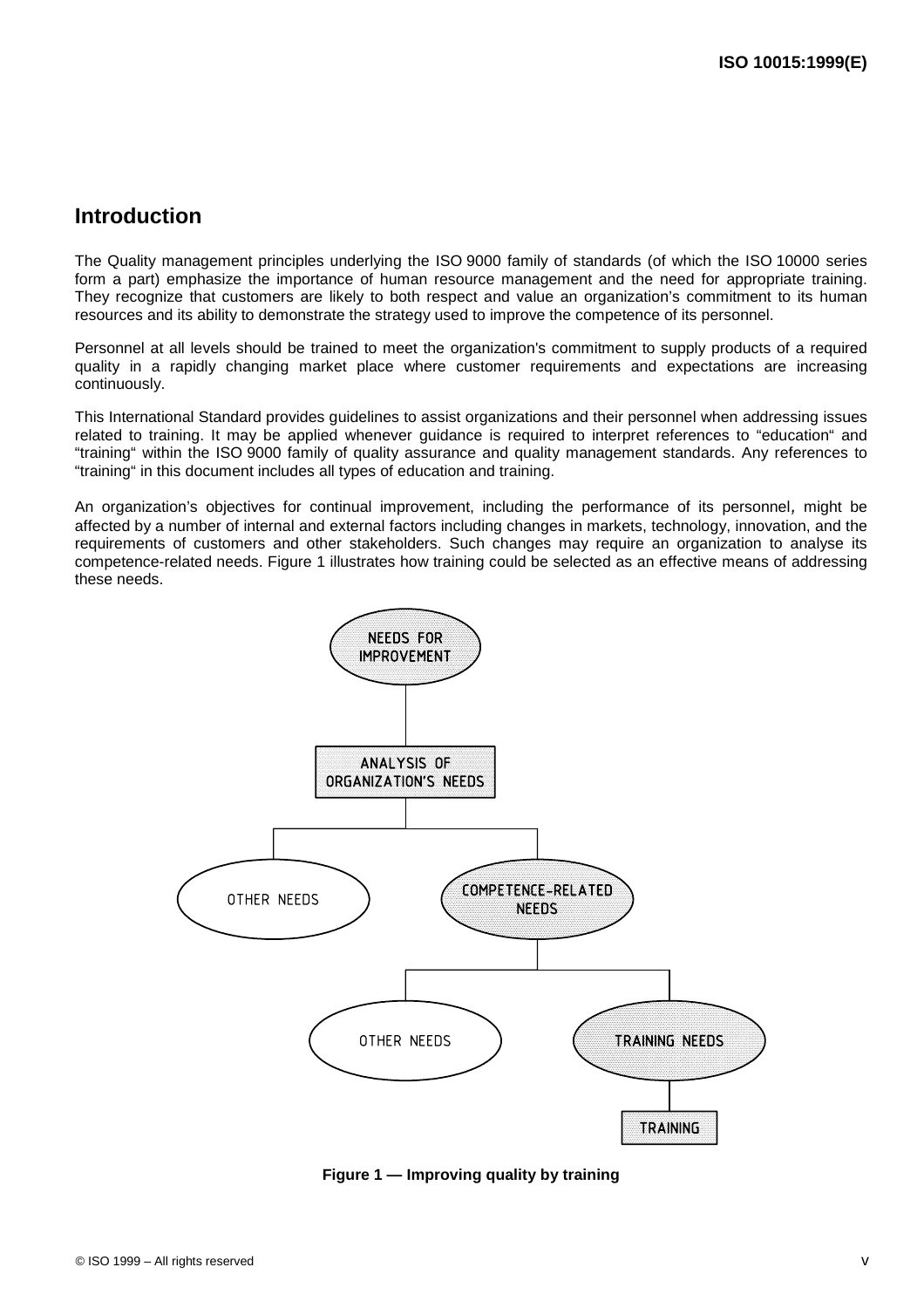### **Introduction**

The Quality management principles underlying the ISO 9000 family of standards (of which the ISO 10000 series form a part) emphasize the importance of human resource management and the need for appropriate training. They recognize that customers are likely to both respect and value an organization's commitment to its human resources and its ability to demonstrate the strategy used to improve the competence of its personnel.

Personnel at all levels should be trained to meet the organization's commitment to supply products of a required quality in a rapidly changing market place where customer requirements and expectations are increasing continuously.

This International Standard provides guidelines to assist organizations and their personnel when addressing issues related to training. It may be applied whenever guidance is required to interpret references to "education" and "training" within the ISO 9000 family of quality assurance and quality management standards. Any references to "training" in this document includes all types of education and training.

An organization's objectives for continual improvement, including the performance of its personnel, might be affected by a number of internal and external factors including changes in markets, technology, innovation, and the requirements of customers and other stakeholders. Such changes may require an organization to analyse its competence-related needs. Figure 1 illustrates how training could be selected as an effective means of addressing these needs.



**Figure 1 — Improving quality by training**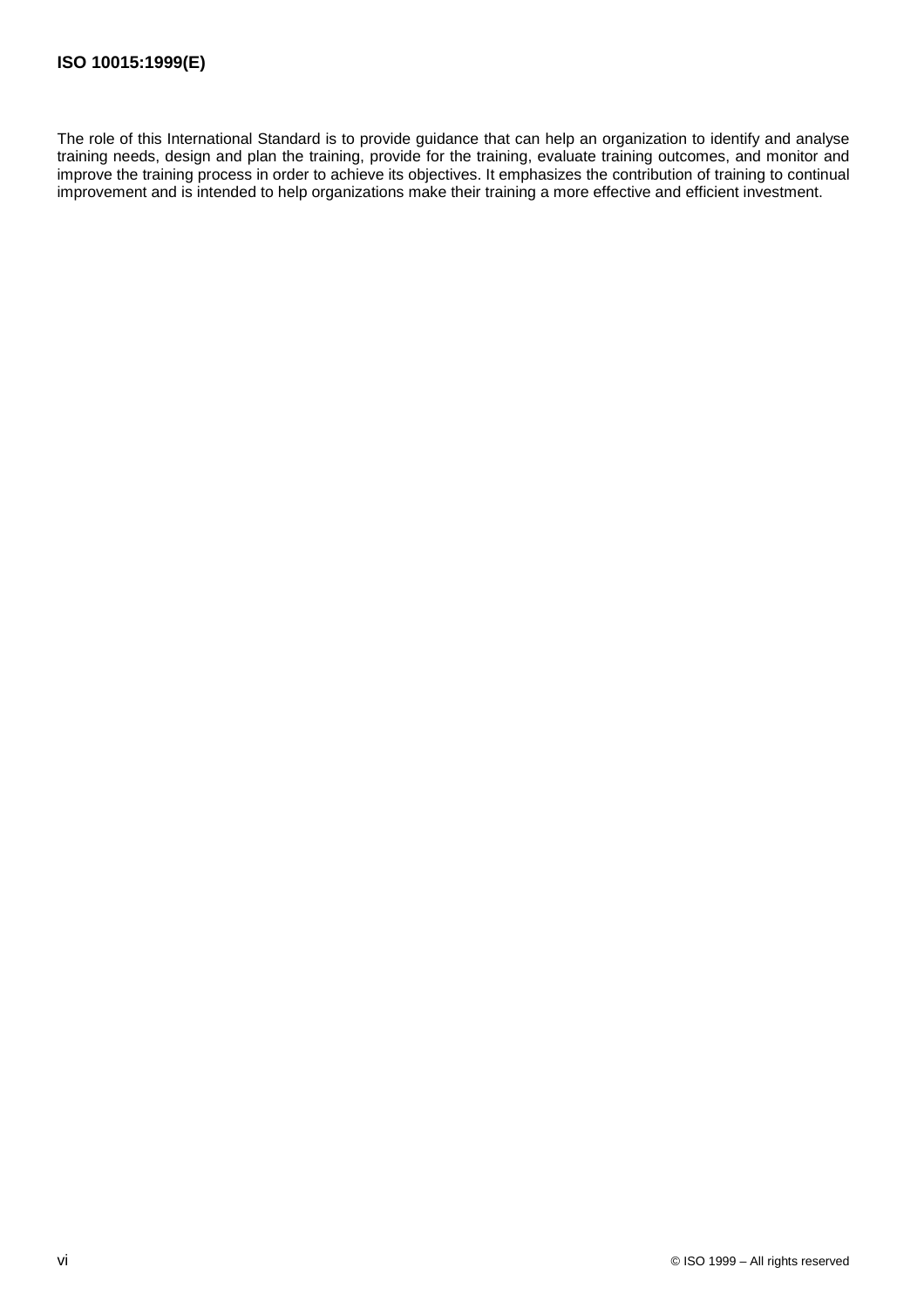The role of this International Standard is to provide guidance that can help an organization to identify and analyse training needs, design and plan the training, provide for the training, evaluate training outcomes, and monitor and improve the training process in order to achieve its objectives. It emphasizes the contribution of training to continual improvement and is intended to help organizations make their training a more effective and efficient investment.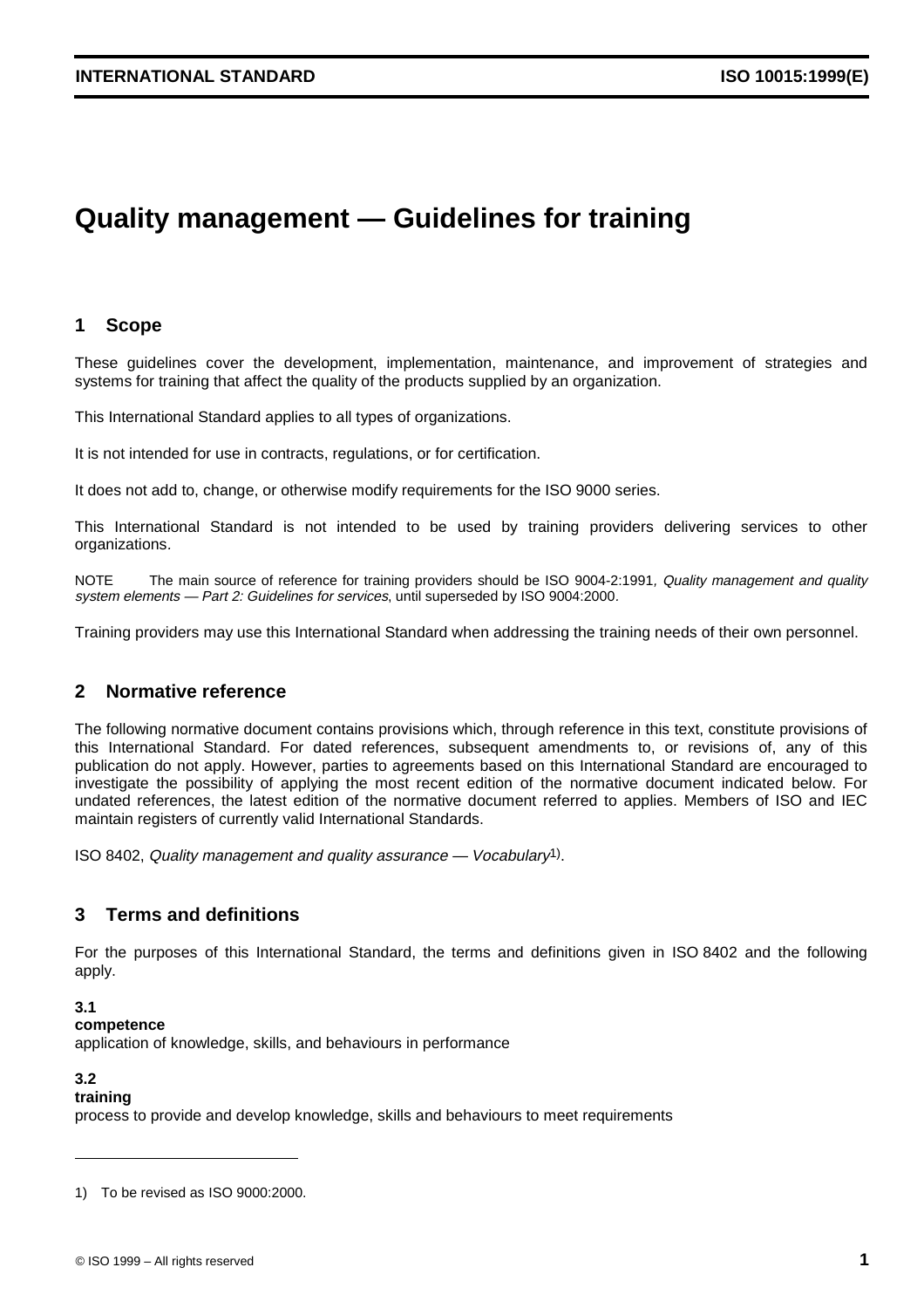# **Quality management — Guidelines for training**

#### **1 Scope**

These guidelines cover the development, implementation, maintenance, and improvement of strategies and systems for training that affect the quality of the products supplied by an organization.

This International Standard applies to all types of organizations.

It is not intended for use in contracts, regulations, or for certification.

It does not add to, change, or otherwise modify requirements for the ISO 9000 series.

This International Standard is not intended to be used by training providers delivering services to other organizations.

NOTE The main source of reference for training providers should be ISO 9004-2:1991, Quality management and quality system elements — Part 2: Guidelines for services, until superseded by ISO 9004:2000.

Training providers may use this International Standard when addressing the training needs of their own personnel.

#### **2 Normative reference**

The following normative document contains provisions which, through reference in this text, constitute provisions of this International Standard. For dated references, subsequent amendments to, or revisions of, any of this publication do not apply. However, parties to agreements based on this International Standard are encouraged to investigate the possibility of applying the most recent edition of the normative document indicated below. For undated references, the latest edition of the normative document referred to applies. Members of ISO and IEC maintain registers of currently valid International Standards.

ISO 8402, Quality management and quality assurance — Vocabulary1).

#### **3 Terms and definitions**

For the purposes of this International Standard, the terms and definitions given in ISO 8402 and the following apply.

#### **3.1**

#### **competence**

application of knowledge, skills, and behaviours in performance

#### **3.2**

#### **training**

process to provide and develop knowledge, skills and behaviours to meet requirements

<sup>1)</sup> To be revised as ISO 9000:2000.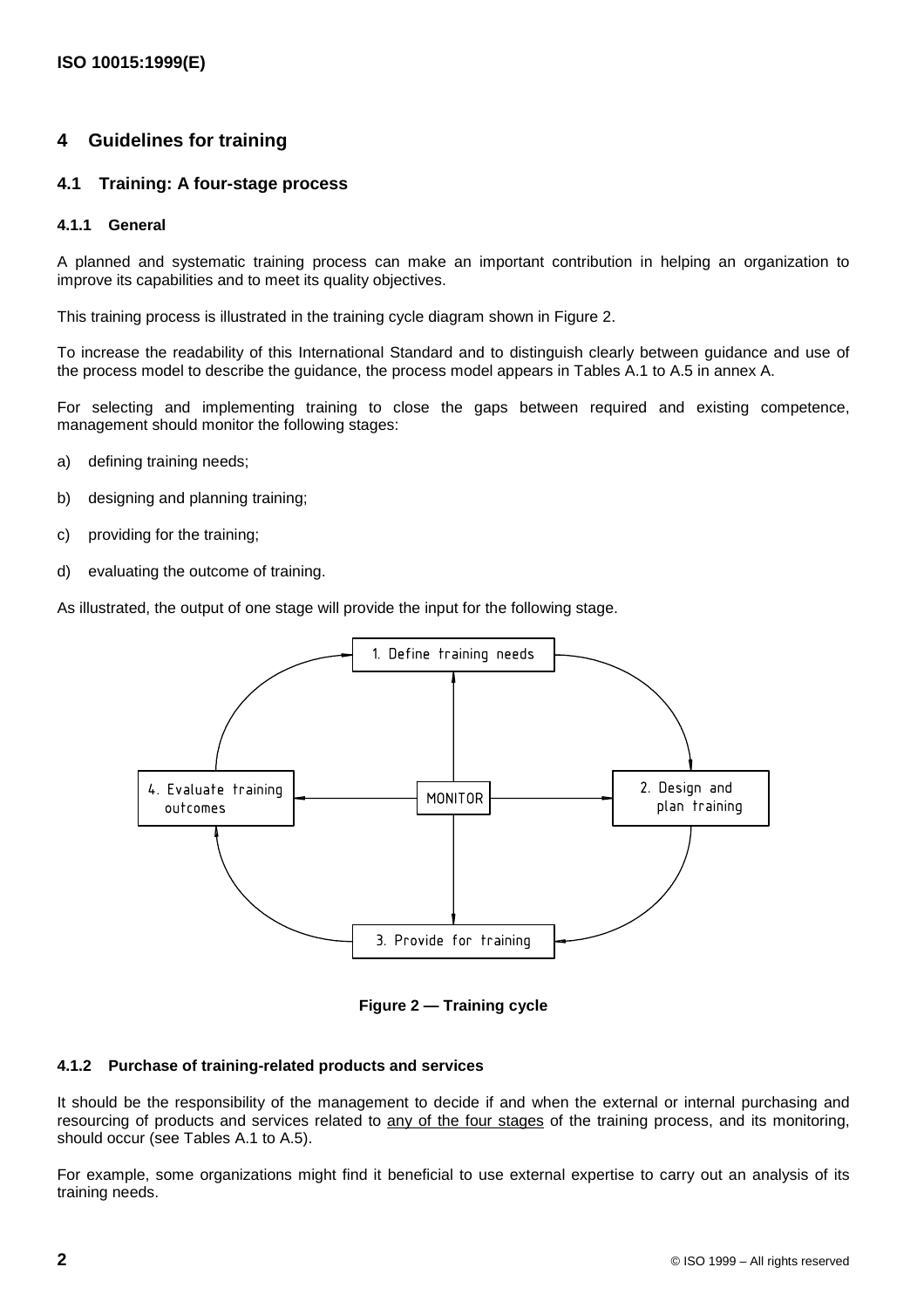### **4 Guidelines for training**

#### **4.1 Training: A four-stage process**

#### **4.1.1 General**

A planned and systematic training process can make an important contribution in helping an organization to improve its capabilities and to meet its quality objectives.

This training process is illustrated in the training cycle diagram shown in Figure 2.

To increase the readability of this International Standard and to distinguish clearly between guidance and use of the process model to describe the guidance, the process model appears in Tables A.1 to A.5 in annex A.

For selecting and implementing training to close the gaps between required and existing competence, management should monitor the following stages:

- a) defining training needs;
- b) designing and planning training;
- c) providing for the training;
- d) evaluating the outcome of training.

As illustrated, the output of one stage will provide the input for the following stage.



**Figure 2 — Training cycle**

#### **4.1.2 Purchase of training-related products and services**

It should be the responsibility of the management to decide if and when the external or internal purchasing and resourcing of products and services related to any of the four stages of the training process, and its monitoring, should occur (see Tables A.1 to A.5).

For example, some organizations might find it beneficial to use external expertise to carry out an analysis of its training needs.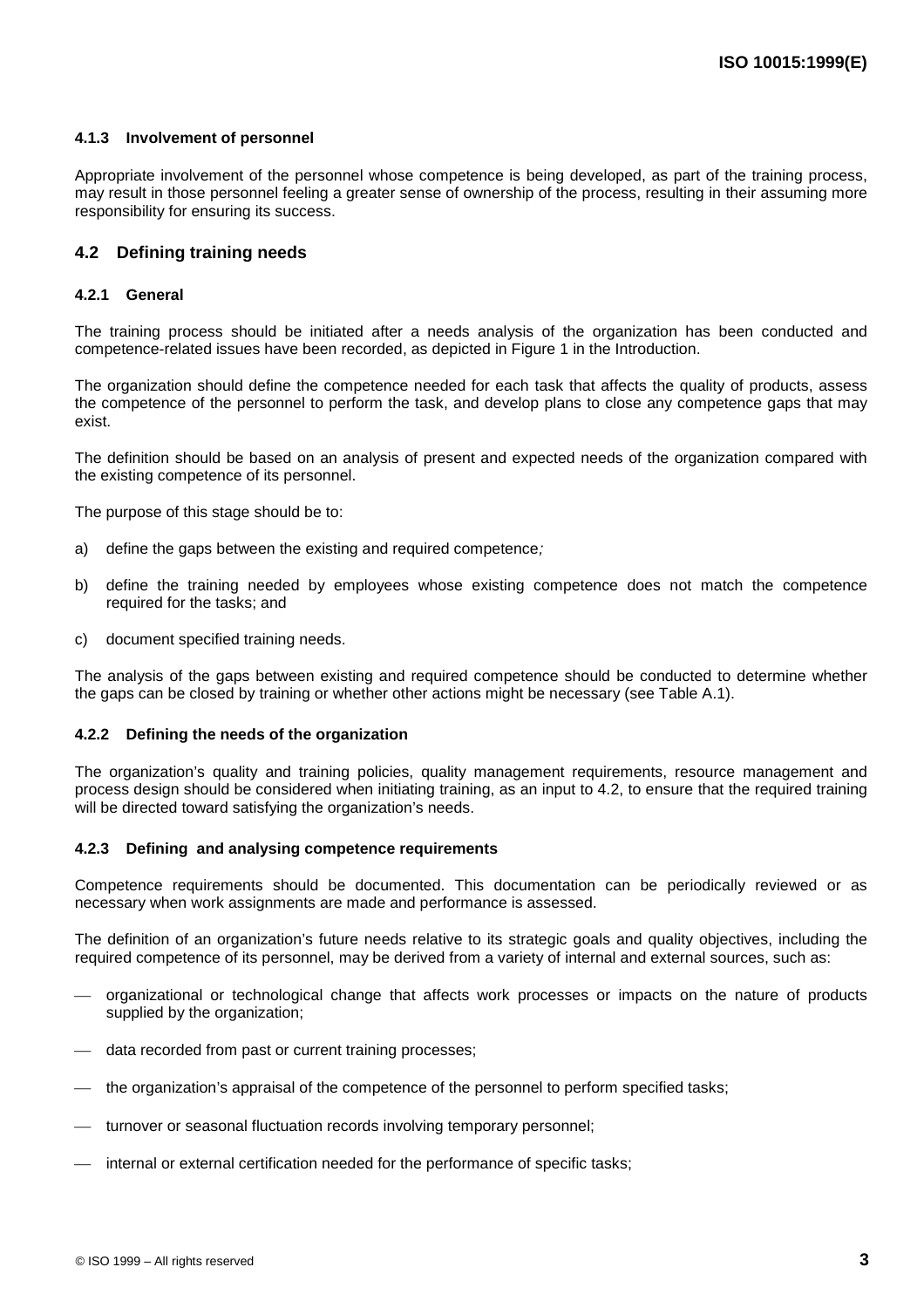#### **4.1.3 Involvement of personnel**

Appropriate involvement of the personnel whose competence is being developed, as part of the training process, may result in those personnel feeling a greater sense of ownership of the process, resulting in their assuming more responsibility for ensuring its success.

#### **4.2 Defining training needs**

#### **4.2.1 General**

The training process should be initiated after a needs analysis of the organization has been conducted and competence-related issues have been recorded, as depicted in Figure 1 in the Introduction.

The organization should define the competence needed for each task that affects the quality of products, assess the competence of the personnel to perform the task, and develop plans to close any competence gaps that may exist.

The definition should be based on an analysis of present and expected needs of the organization compared with the existing competence of its personnel.

The purpose of this stage should be to:

- a) define the gaps between the existing and required competence;
- b) define the training needed by employees whose existing competence does not match the competence required for the tasks; and
- c) document specified training needs.

The analysis of the gaps between existing and required competence should be conducted to determine whether the gaps can be closed by training or whether other actions might be necessary (see Table A.1).

#### **4.2.2 Defining the needs of the organization**

The organization's quality and training policies, quality management requirements, resource management and process design should be considered when initiating training, as an input to 4.2, to ensure that the required training will be directed toward satisfying the organization's needs.

#### **4.2.3 Defining and analysing competence requirements**

Competence requirements should be documented. This documentation can be periodically reviewed or as necessary when work assignments are made and performance is assessed.

The definition of an organization's future needs relative to its strategic goals and quality objectives, including the required competence of its personnel, may be derived from a variety of internal and external sources, such as:

- organizational or technological change that affects work processes or impacts on the nature of products supplied by the organization;
- data recorded from past or current training processes;
- the organization's appraisal of the competence of the personnel to perform specified tasks;
- turnover or seasonal fluctuation records involving temporary personnel;
- internal or external certification needed for the performance of specific tasks;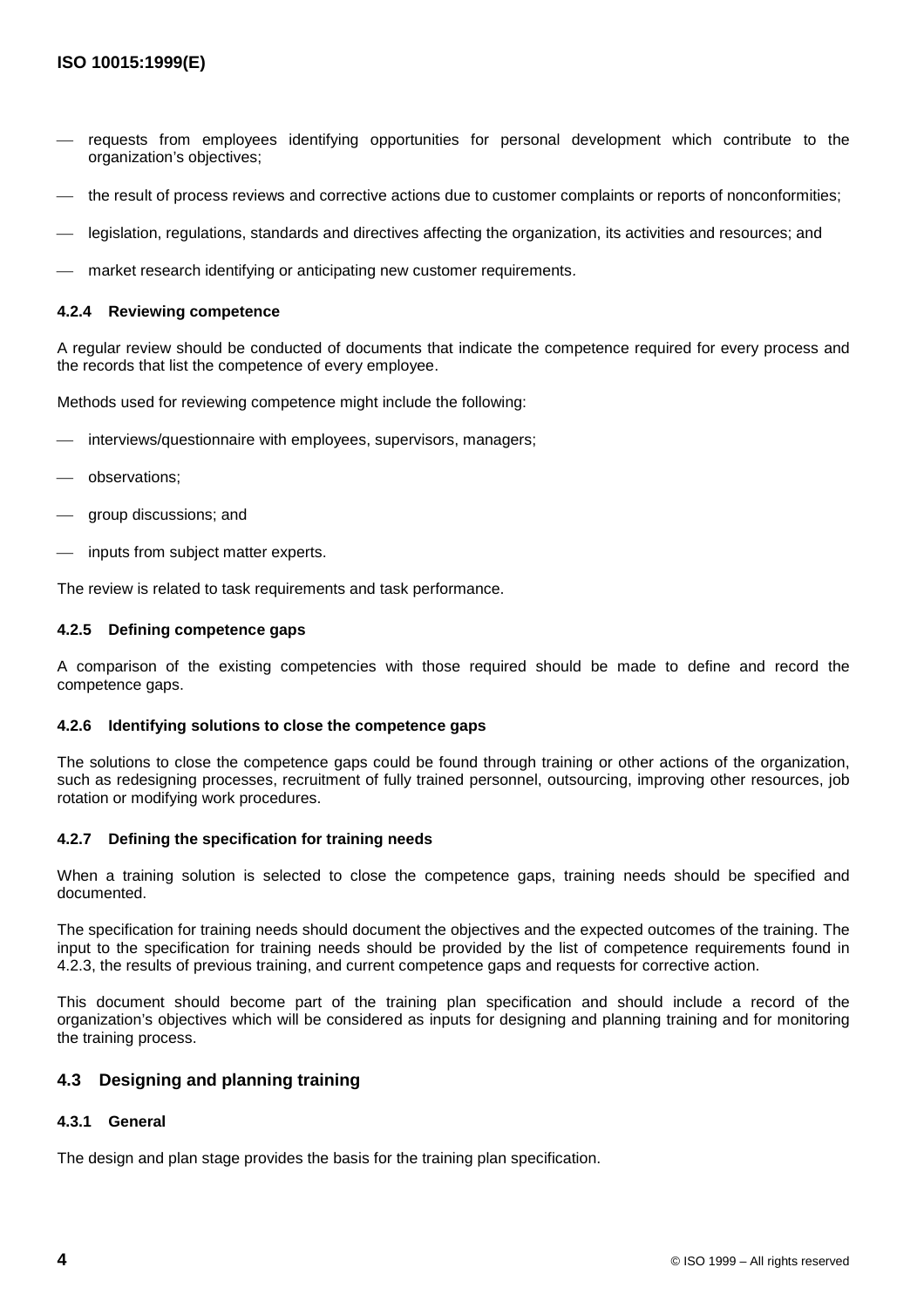- requests from employees identifying opportunities for personal development which contribute to the organization's objectives;
- the result of process reviews and corrective actions due to customer complaints or reports of nonconformities;
- legislation, regulations, standards and directives affecting the organization, its activities and resources; and
- market research identifying or anticipating new customer requirements.

#### **4.2.4 Reviewing competence**

A regular review should be conducted of documents that indicate the competence required for every process and the records that list the competence of every employee.

Methods used for reviewing competence might include the following:

- interviews/questionnaire with employees, supervisors, managers;
- observations;
- group discussions; and
- inputs from subject matter experts.

The review is related to task requirements and task performance.

#### **4.2.5 Defining competence gaps**

A comparison of the existing competencies with those required should be made to define and record the competence gaps.

#### **4.2.6 Identifying solutions to close the competence gaps**

The solutions to close the competence gaps could be found through training or other actions of the organization, such as redesigning processes, recruitment of fully trained personnel, outsourcing, improving other resources, job rotation or modifying work procedures.

#### **4.2.7 Defining the specification for training needs**

When a training solution is selected to close the competence gaps, training needs should be specified and documented.

The specification for training needs should document the objectives and the expected outcomes of the training. The input to the specification for training needs should be provided by the list of competence requirements found in 4.2.3, the results of previous training, and current competence gaps and requests for corrective action.

This document should become part of the training plan specification and should include a record of the organization's objectives which will be considered as inputs for designing and planning training and for monitoring the training process.

#### **4.3 Designing and planning training**

#### **4.3.1 General**

The design and plan stage provides the basis for the training plan specification.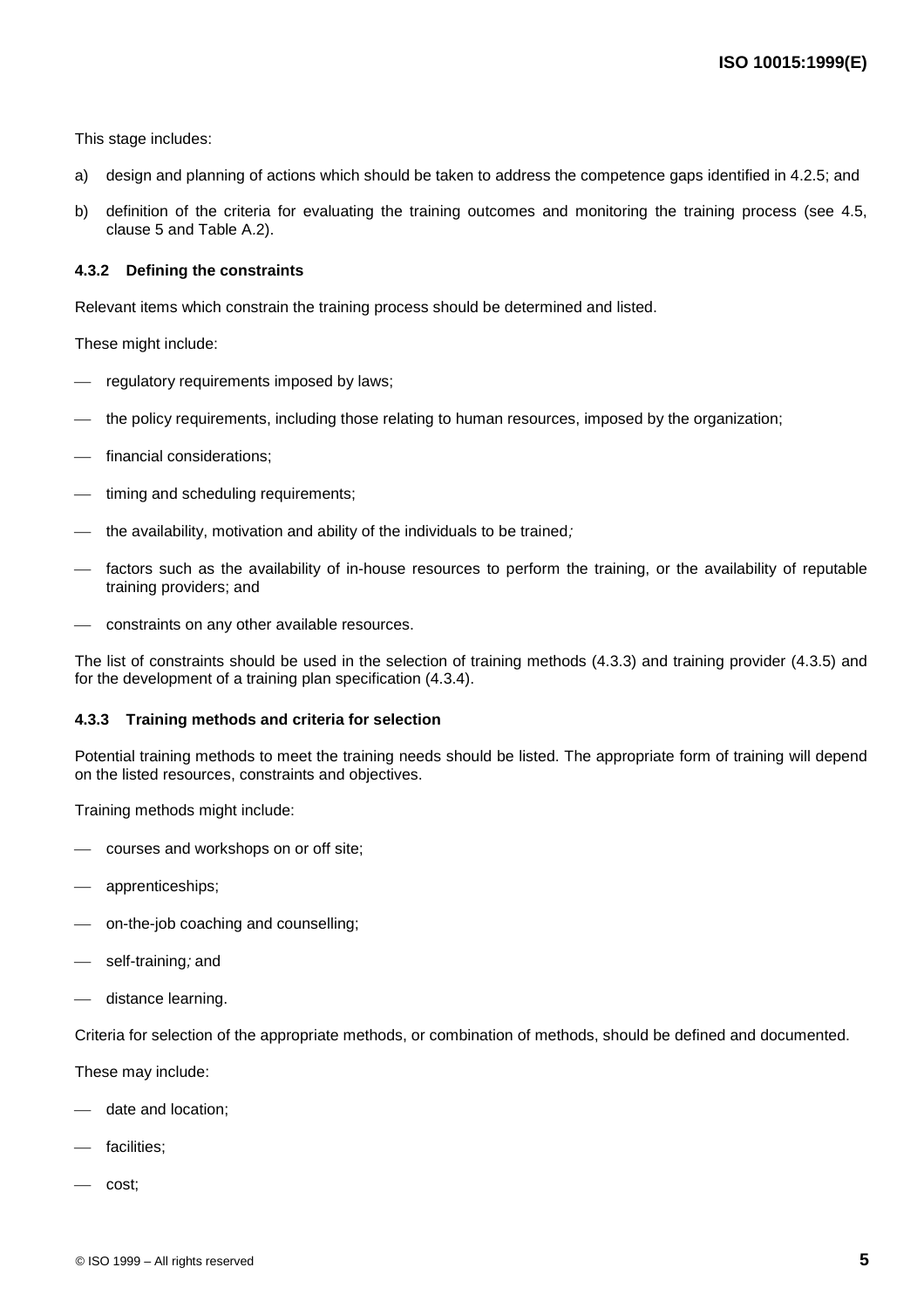This stage includes:

- a) design and planning of actions which should be taken to address the competence gaps identified in 4.2.5; and
- b) definition of the criteria for evaluating the training outcomes and monitoring the training process (see 4.5, clause 5 and Table A.2).

#### **4.3.2 Defining the constraints**

Relevant items which constrain the training process should be determined and listed.

These might include:

- regulatory requirements imposed by laws;
- the policy requirements, including those relating to human resources, imposed by the organization;
- financial considerations;
- timing and scheduling requirements;
- $\mu$  the availability, motivation and ability of the individuals to be trained;
- factors such as the availability of in-house resources to perform the training, or the availability of reputable training providers; and
- constraints on any other available resources.

The list of constraints should be used in the selection of training methods (4.3.3) and training provider (4.3.5) and for the development of a training plan specification (4.3.4).

#### **4.3.3 Training methods and criteria for selection**

Potential training methods to meet the training needs should be listed. The appropriate form of training will depend on the listed resources, constraints and objectives.

Training methods might include:

- courses and workshops on or off site;
- apprenticeships;
- on-the-job coaching and counselling;
- self-training; and
- distance learning.

Criteria for selection of the appropriate methods, or combination of methods, should be defined and documented.

These may include:

- date and location;
- facilities:
- cost;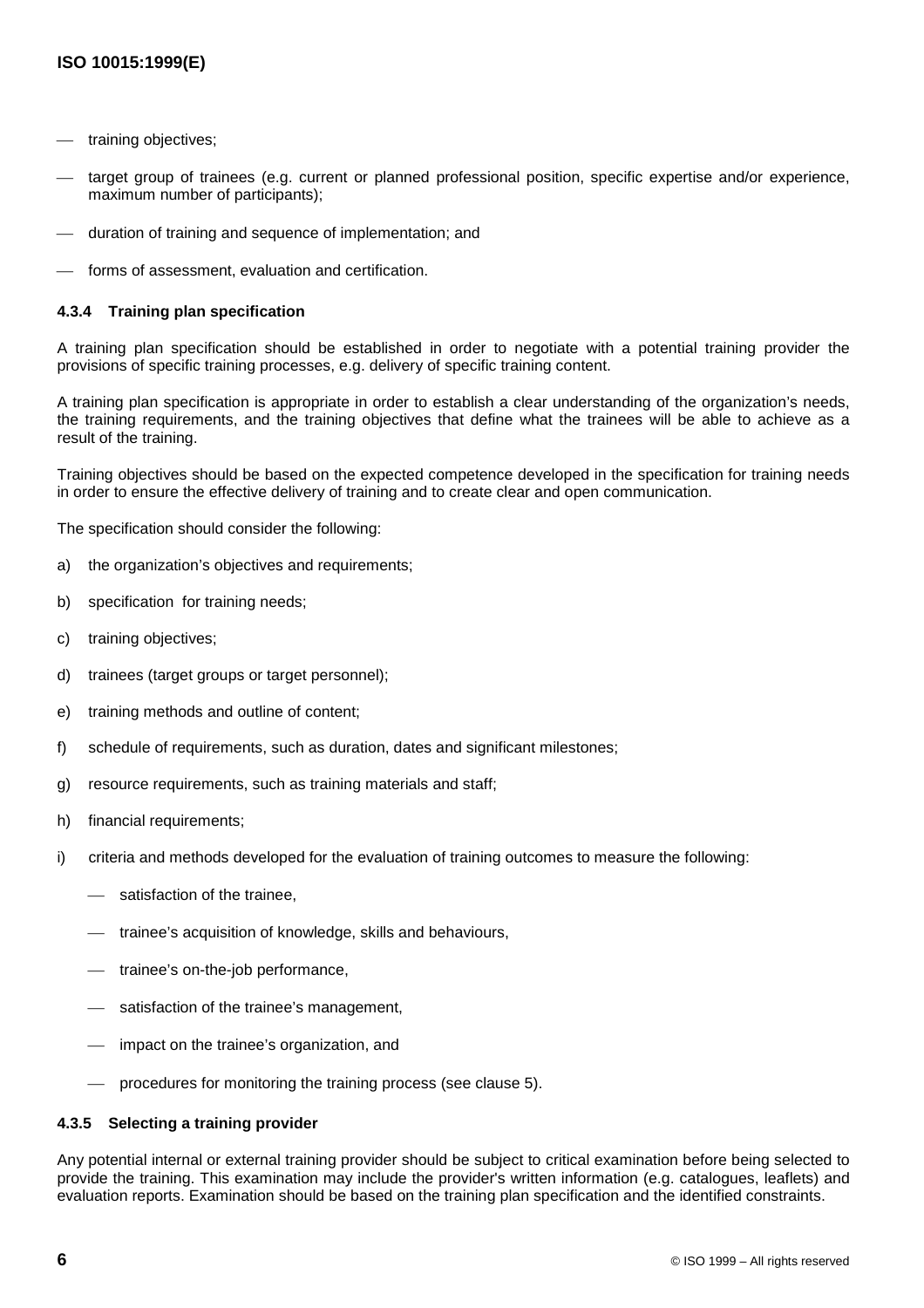- training objectives;
- target group of trainees (e.g. current or planned professional position, specific expertise and/or experience, maximum number of participants);
- duration of training and sequence of implementation; and
- forms of assessment, evaluation and certification.

#### **4.3.4 Training plan specification**

A training plan specification should be established in order to negotiate with a potential training provider the provisions of specific training processes, e.g. delivery of specific training content.

A training plan specification is appropriate in order to establish a clear understanding of the organization's needs, the training requirements, and the training objectives that define what the trainees will be able to achieve as a result of the training.

Training objectives should be based on the expected competence developed in the specification for training needs in order to ensure the effective delivery of training and to create clear and open communication.

The specification should consider the following:

- a) the organization's objectives and requirements;
- b) specification for training needs;
- c) training objectives;
- d) trainees (target groups or target personnel);
- e) training methods and outline of content;
- f) schedule of requirements, such as duration, dates and significant milestones;
- g) resource requirements, such as training materials and staff;
- h) financial requirements;
- i) criteria and methods developed for the evaluation of training outcomes to measure the following:
	- satisfaction of the trainee,
	- $-$  trainee's acquisition of knowledge, skills and behaviours,
	- trainee's on-the-job performance,
	- satisfaction of the trainee's management,
	- impact on the trainee's organization, and
	- procedures for monitoring the training process (see clause 5).

#### **4.3.5 Selecting a training provider**

Any potential internal or external training provider should be subject to critical examination before being selected to provide the training. This examination may include the provider's written information (e.g. catalogues, leaflets) and evaluation reports. Examination should be based on the training plan specification and the identified constraints.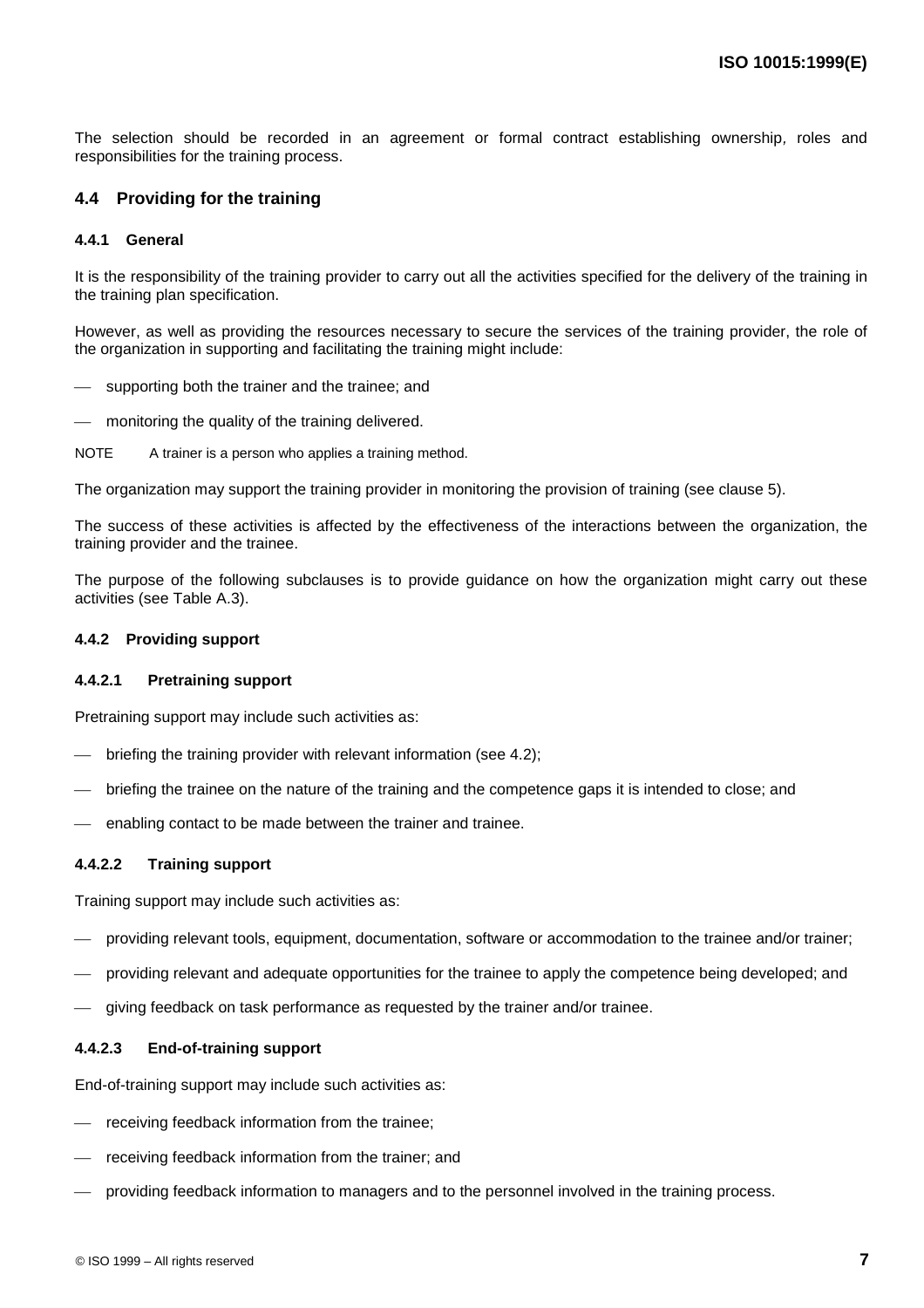The selection should be recorded in an agreement or formal contract establishing ownership, roles and responsibilities for the training process.

#### **4.4 Providing for the training**

#### **4.4.1 General**

It is the responsibility of the training provider to carry out all the activities specified for the delivery of the training in the training plan specification.

However, as well as providing the resources necessary to secure the services of the training provider, the role of the organization in supporting and facilitating the training might include:

- supporting both the trainer and the trainee; and
- monitoring the quality of the training delivered.
- NOTE A trainer is a person who applies a training method.

The organization may support the training provider in monitoring the provision of training (see clause 5).

The success of these activities is affected by the effectiveness of the interactions between the organization, the training provider and the trainee.

The purpose of the following subclauses is to provide guidance on how the organization might carry out these activities (see Table A.3).

#### **4.4.2 Providing support**

#### **4.4.2.1 Pretraining support**

Pretraining support may include such activities as:

- briefing the training provider with relevant information (see 4.2);
- briefing the trainee on the nature of the training and the competence gaps it is intended to close; and
- enabling contact to be made between the trainer and trainee.

#### **4.4.2.2 Training support**

Training support may include such activities as:

- providing relevant tools, equipment, documentation, software or accommodation to the trainee and/or trainer;
- providing relevant and adequate opportunities for the trainee to apply the competence being developed; and
- giving feedback on task performance as requested by the trainer and/or trainee.

#### **4.4.2.3 End-of-training support**

End-of-training support may include such activities as:

- receiving feedback information from the trainee;
- receiving feedback information from the trainer; and
- providing feedback information to managers and to the personnel involved in the training process.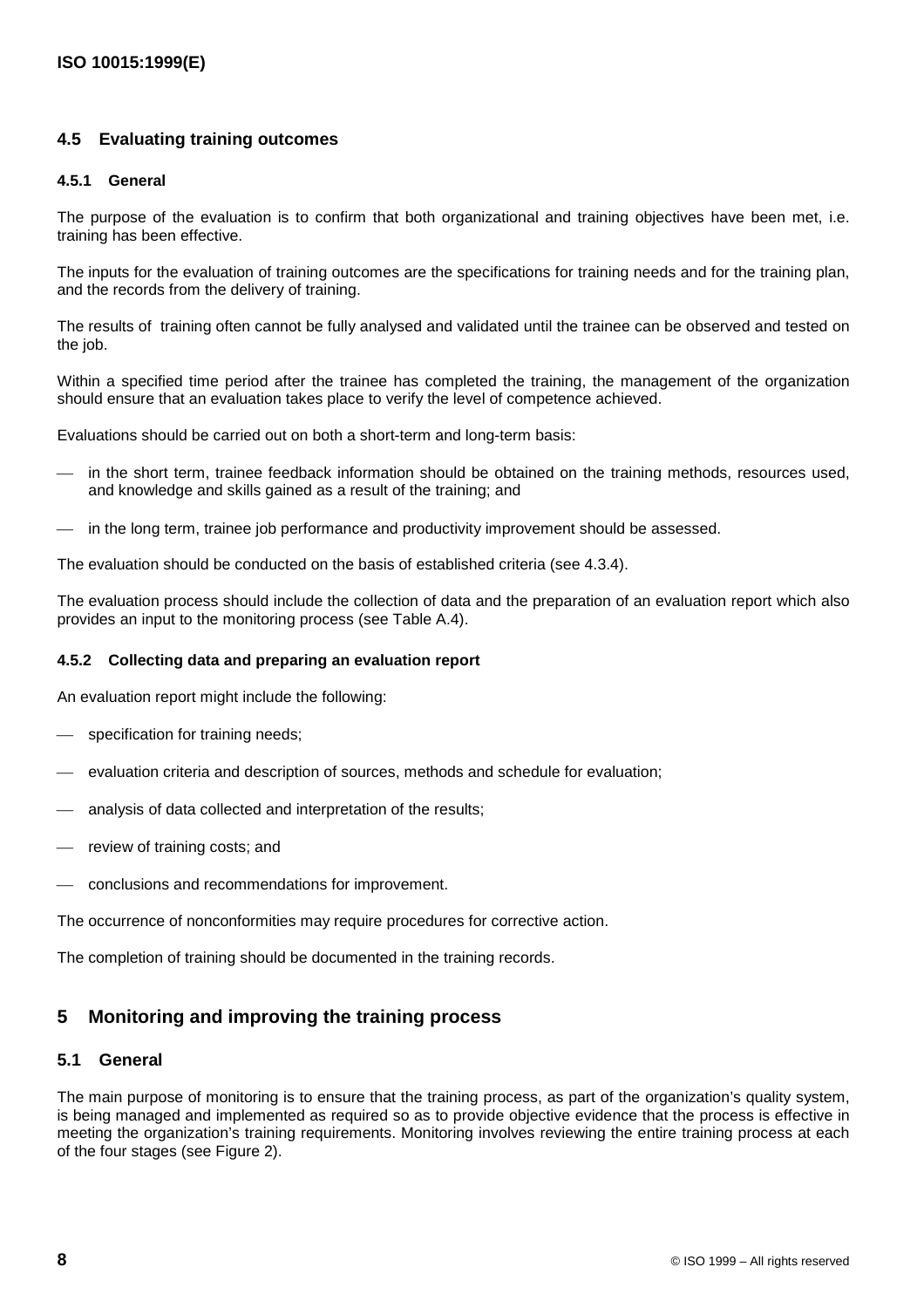#### **4.5 Evaluating training outcomes**

#### **4.5.1 General**

The purpose of the evaluation is to confirm that both organizational and training objectives have been met, i.e. training has been effective.

The inputs for the evaluation of training outcomes are the specifications for training needs and for the training plan, and the records from the delivery of training.

The results of training often cannot be fully analysed and validated until the trainee can be observed and tested on the job.

Within a specified time period after the trainee has completed the training, the management of the organization should ensure that an evaluation takes place to verify the level of competence achieved.

Evaluations should be carried out on both a short-term and long-term basis:

- in the short term, trainee feedback information should be obtained on the training methods, resources used, and knowledge and skills gained as a result of the training; and
- in the long term, trainee job performance and productivity improvement should be assessed.

The evaluation should be conducted on the basis of established criteria (see 4.3.4).

The evaluation process should include the collection of data and the preparation of an evaluation report which also provides an input to the monitoring process (see Table A.4).

#### **4.5.2 Collecting data and preparing an evaluation report**

An evaluation report might include the following:

- specification for training needs;
- evaluation criteria and description of sources, methods and schedule for evaluation;
- analysis of data collected and interpretation of the results;
- review of training costs; and
- conclusions and recommendations for improvement.

The occurrence of nonconformities may require procedures for corrective action.

The completion of training should be documented in the training records.

#### **5 Monitoring and improving the training process**

#### **5.1 General**

The main purpose of monitoring is to ensure that the training process, as part of the organization's quality system, is being managed and implemented as required so as to provide objective evidence that the process is effective in meeting the organization's training requirements. Monitoring involves reviewing the entire training process at each of the four stages (see Figure 2).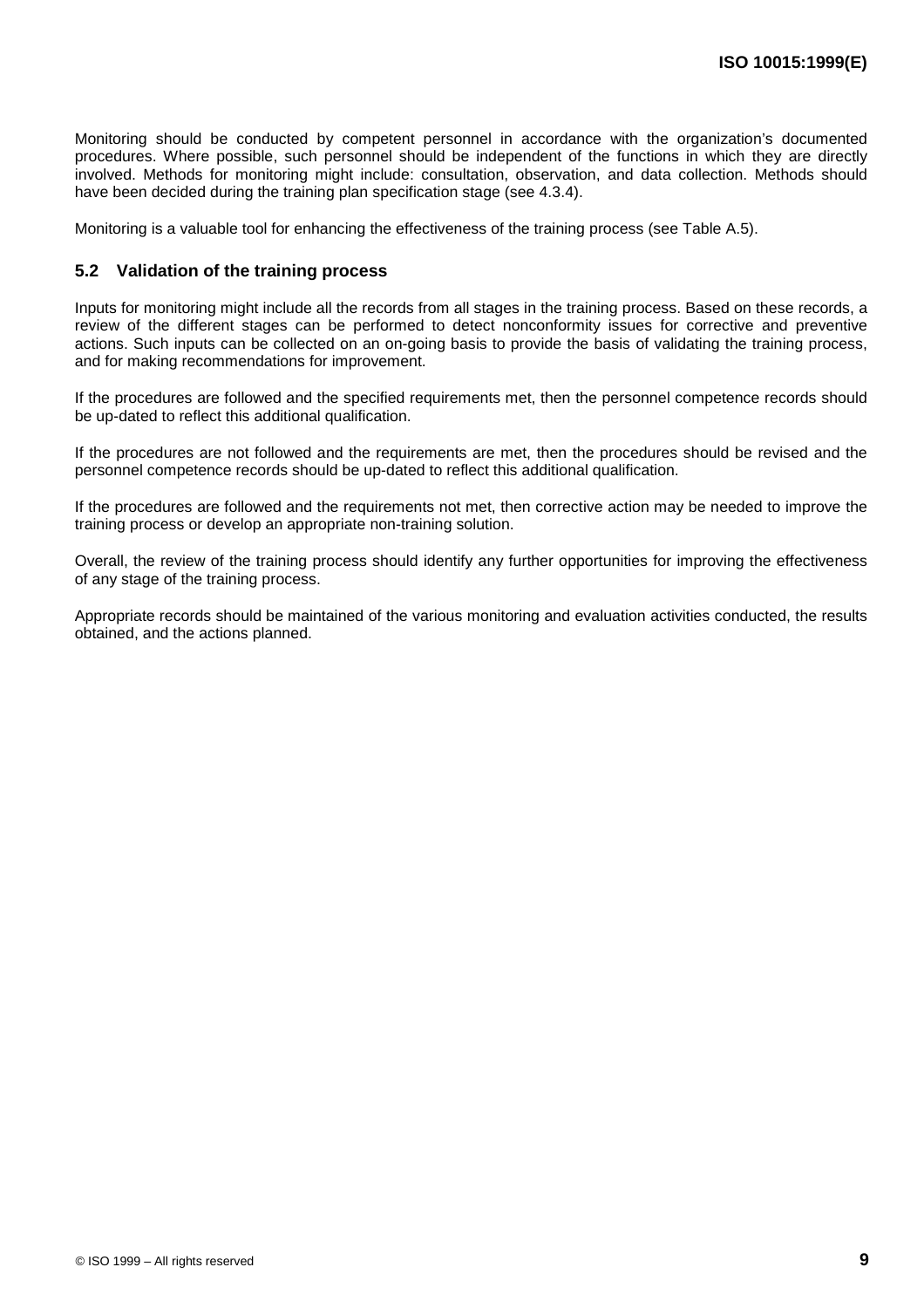Monitoring should be conducted by competent personnel in accordance with the organization's documented procedures. Where possible, such personnel should be independent of the functions in which they are directly involved. Methods for monitoring might include: consultation, observation, and data collection. Methods should have been decided during the training plan specification stage (see 4.3.4).

Monitoring is a valuable tool for enhancing the effectiveness of the training process (see Table A.5).

#### **5.2 Validation of the training process**

Inputs for monitoring might include all the records from all stages in the training process. Based on these records, a review of the different stages can be performed to detect nonconformity issues for corrective and preventive actions. Such inputs can be collected on an on-going basis to provide the basis of validating the training process, and for making recommendations for improvement.

If the procedures are followed and the specified requirements met, then the personnel competence records should be up-dated to reflect this additional qualification.

If the procedures are not followed and the requirements are met, then the procedures should be revised and the personnel competence records should be up-dated to reflect this additional qualification.

If the procedures are followed and the requirements not met, then corrective action may be needed to improve the training process or develop an appropriate non-training solution.

Overall, the review of the training process should identify any further opportunities for improving the effectiveness of any stage of the training process.

Appropriate records should be maintained of the various monitoring and evaluation activities conducted, the results obtained, and the actions planned.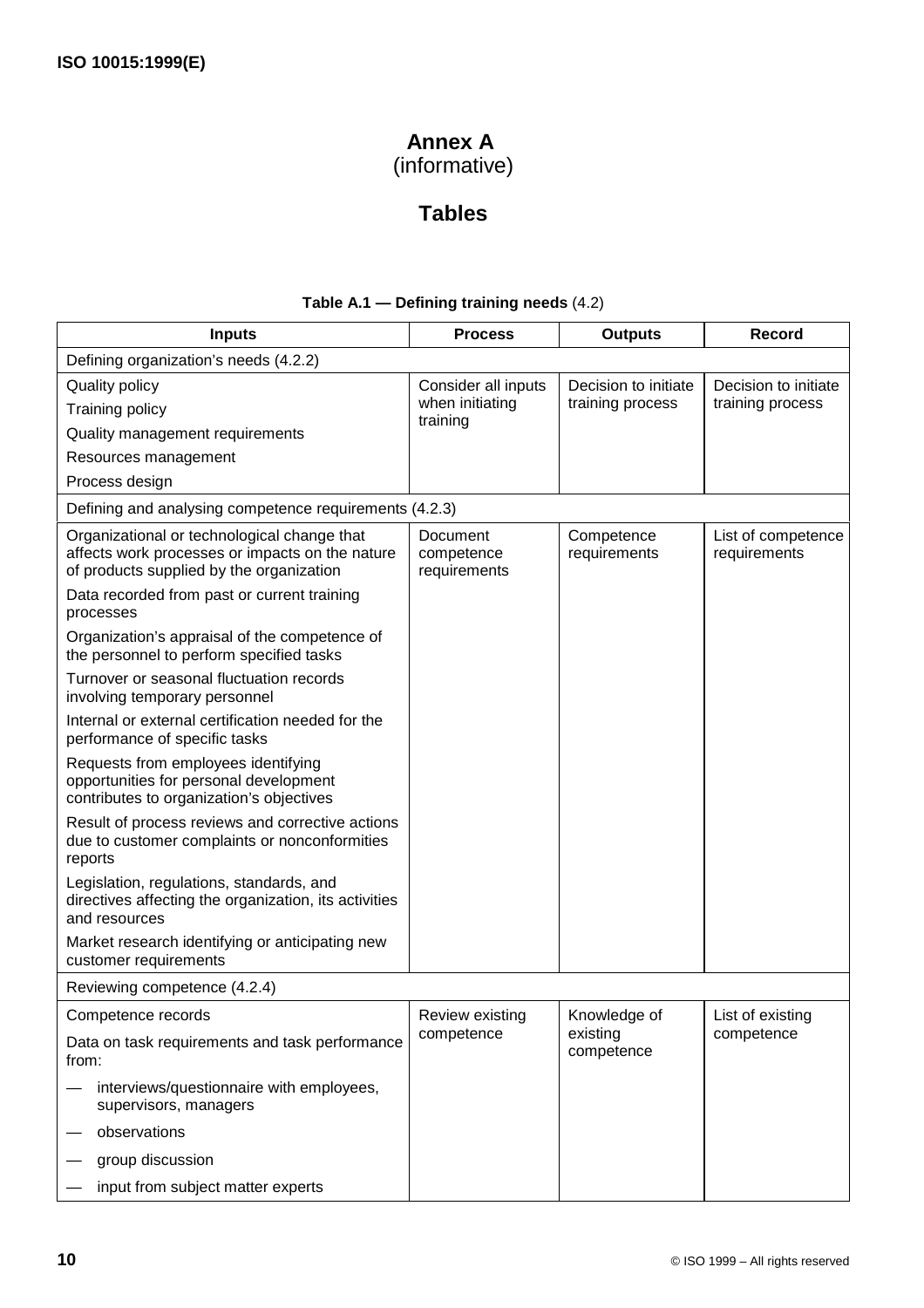# **Annex A**

(informative)

# **Tables**

### **Table A.1 — Defining training needs** (4.2)

| <b>Inputs</b>                                                                                                                              | <b>Process</b>                         | <b>Outputs</b>             | Record                             |
|--------------------------------------------------------------------------------------------------------------------------------------------|----------------------------------------|----------------------------|------------------------------------|
| Defining organization's needs (4.2.2)                                                                                                      |                                        |                            |                                    |
| <b>Quality policy</b>                                                                                                                      | Consider all inputs                    | Decision to initiate       | Decision to initiate               |
| Training policy                                                                                                                            | when initiating<br>training            | training process           | training process                   |
| Quality management requirements                                                                                                            |                                        |                            |                                    |
| Resources management                                                                                                                       |                                        |                            |                                    |
| Process design                                                                                                                             |                                        |                            |                                    |
| Defining and analysing competence requirements (4.2.3)                                                                                     |                                        |                            |                                    |
| Organizational or technological change that<br>affects work processes or impacts on the nature<br>of products supplied by the organization | Document<br>competence<br>requirements | Competence<br>requirements | List of competence<br>requirements |
| Data recorded from past or current training<br>processes                                                                                   |                                        |                            |                                    |
| Organization's appraisal of the competence of<br>the personnel to perform specified tasks                                                  |                                        |                            |                                    |
| Turnover or seasonal fluctuation records<br>involving temporary personnel                                                                  |                                        |                            |                                    |
| Internal or external certification needed for the<br>performance of specific tasks                                                         |                                        |                            |                                    |
| Requests from employees identifying<br>opportunities for personal development<br>contributes to organization's objectives                  |                                        |                            |                                    |
| Result of process reviews and corrective actions<br>due to customer complaints or nonconformities<br>reports                               |                                        |                            |                                    |
| Legislation, regulations, standards, and<br>directives affecting the organization, its activities<br>and resources                         |                                        |                            |                                    |
| Market research identifying or anticipating new<br>customer requirements                                                                   |                                        |                            |                                    |
| Reviewing competence (4.2.4)                                                                                                               |                                        |                            |                                    |
| Competence records                                                                                                                         | Review existing                        | Knowledge of               | List of existing                   |
| Data on task requirements and task performance<br>from:                                                                                    | competence                             | existing<br>competence     | competence                         |
| interviews/questionnaire with employees,<br>supervisors, managers                                                                          |                                        |                            |                                    |
| observations                                                                                                                               |                                        |                            |                                    |
| group discussion                                                                                                                           |                                        |                            |                                    |
| input from subject matter experts                                                                                                          |                                        |                            |                                    |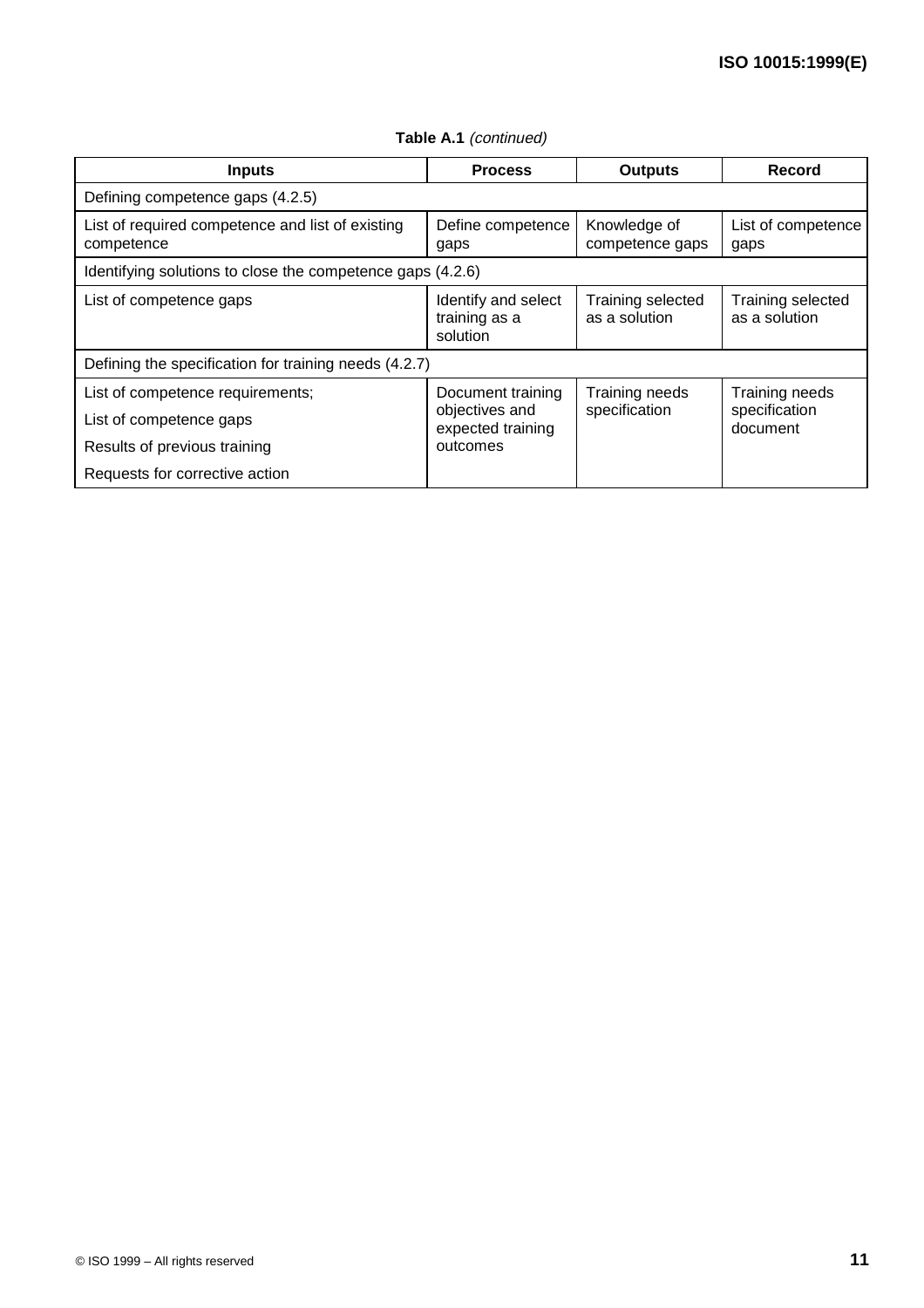| <b>Inputs</b>                                                  | <b>Process</b>                                   | <b>Outputs</b>                     | Record                             |  |
|----------------------------------------------------------------|--------------------------------------------------|------------------------------------|------------------------------------|--|
| Defining competence gaps (4.2.5)                               |                                                  |                                    |                                    |  |
| List of required competence and list of existing<br>competence | Define competence<br>gaps                        | Knowledge of<br>competence gaps    | List of competence<br>gaps         |  |
| Identifying solutions to close the competence gaps (4.2.6)     |                                                  |                                    |                                    |  |
| List of competence gaps                                        | Identify and select<br>training as a<br>solution | Training selected<br>as a solution | Training selected<br>as a solution |  |
| Defining the specification for training needs (4.2.7)          |                                                  |                                    |                                    |  |
| List of competence requirements;                               | Document training                                | Training needs                     | Training needs                     |  |
| List of competence gaps                                        | objectives and<br>expected training              | specification                      | specification<br>document          |  |
| Results of previous training                                   | outcomes                                         |                                    |                                    |  |
| Requests for corrective action                                 |                                                  |                                    |                                    |  |

Table A.1 (continued)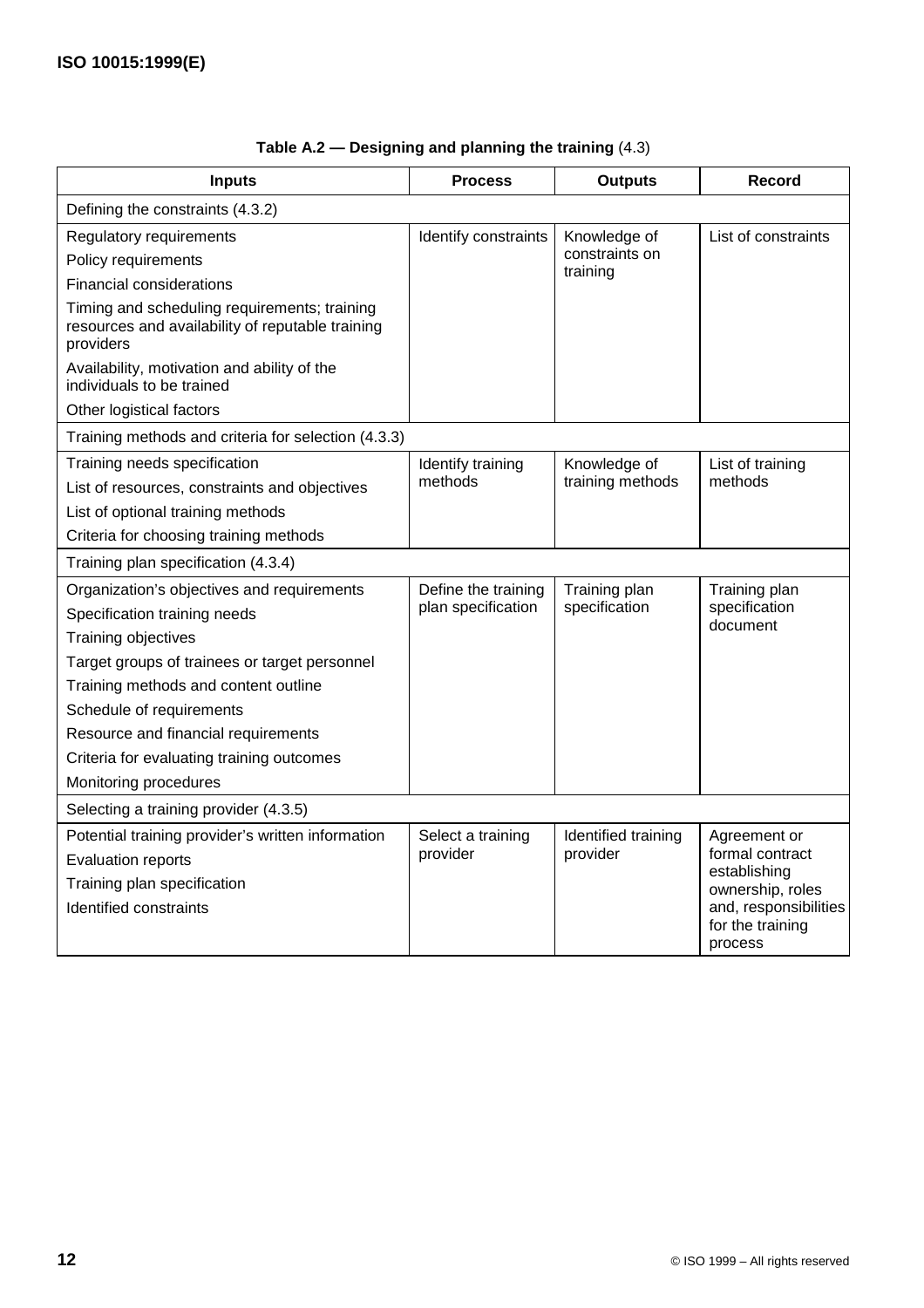| <b>Inputs</b>                                                                                                 | <b>Process</b>       | <b>Outputs</b>      | <b>Record</b>                                        |
|---------------------------------------------------------------------------------------------------------------|----------------------|---------------------|------------------------------------------------------|
| Defining the constraints (4.3.2)                                                                              |                      |                     |                                                      |
| Regulatory requirements                                                                                       | Identify constraints | Knowledge of        | List of constraints                                  |
| Policy requirements                                                                                           |                      | constraints on      |                                                      |
| <b>Financial considerations</b>                                                                               |                      | training            |                                                      |
| Timing and scheduling requirements; training<br>resources and availability of reputable training<br>providers |                      |                     |                                                      |
| Availability, motivation and ability of the<br>individuals to be trained                                      |                      |                     |                                                      |
| Other logistical factors                                                                                      |                      |                     |                                                      |
| Training methods and criteria for selection (4.3.3)                                                           |                      |                     |                                                      |
| Training needs specification                                                                                  | Identify training    | Knowledge of        | List of training                                     |
| List of resources, constraints and objectives                                                                 | methods              | training methods    | methods                                              |
| List of optional training methods                                                                             |                      |                     |                                                      |
| Criteria for choosing training methods                                                                        |                      |                     |                                                      |
| Training plan specification (4.3.4)                                                                           |                      |                     |                                                      |
| Organization's objectives and requirements                                                                    | Define the training  | Training plan       | Training plan                                        |
| Specification training needs                                                                                  | plan specification   | specification       | specification<br>document                            |
| Training objectives                                                                                           |                      |                     |                                                      |
| Target groups of trainees or target personnel                                                                 |                      |                     |                                                      |
| Training methods and content outline                                                                          |                      |                     |                                                      |
| Schedule of requirements                                                                                      |                      |                     |                                                      |
| Resource and financial requirements                                                                           |                      |                     |                                                      |
| Criteria for evaluating training outcomes                                                                     |                      |                     |                                                      |
| Monitoring procedures                                                                                         |                      |                     |                                                      |
| Selecting a training provider (4.3.5)                                                                         |                      |                     |                                                      |
| Potential training provider's written information                                                             | Select a training    | Identified training | Agreement or                                         |
| <b>Evaluation reports</b>                                                                                     | provider             | provider            | formal contract<br>establishing                      |
| Training plan specification                                                                                   |                      |                     | ownership, roles                                     |
| Identified constraints                                                                                        |                      |                     | and, responsibilities<br>for the training<br>process |

## **Table A.2 — Designing and planning the training** (4.3)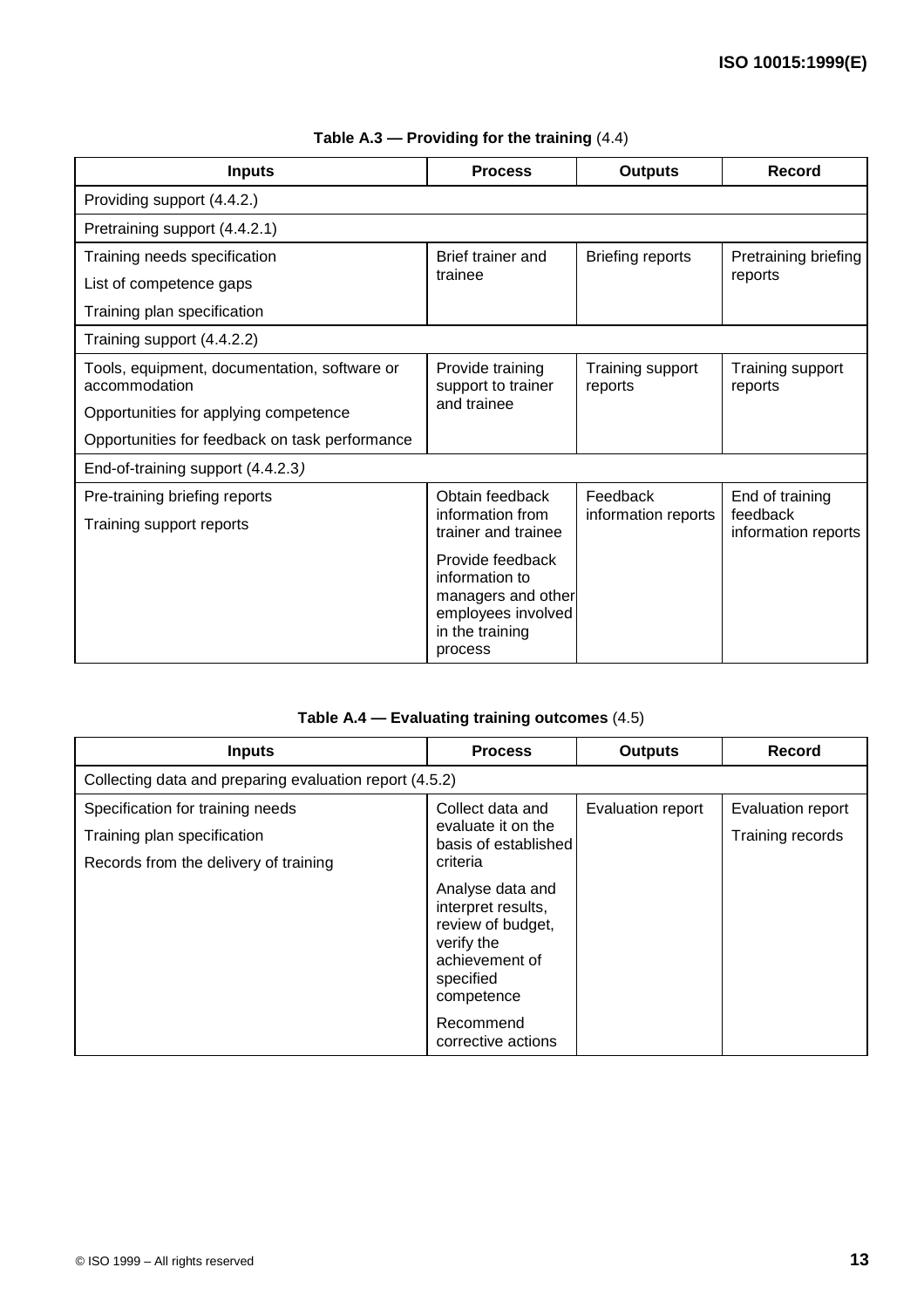| <b>Inputs</b>                                                 | <b>Process</b>                                                                                               | <b>Outputs</b>              | Record                          |  |
|---------------------------------------------------------------|--------------------------------------------------------------------------------------------------------------|-----------------------------|---------------------------------|--|
| Providing support (4.4.2.)                                    |                                                                                                              |                             |                                 |  |
| Pretraining support (4.4.2.1)                                 |                                                                                                              |                             |                                 |  |
| Training needs specification                                  | Brief trainer and                                                                                            | <b>Briefing reports</b>     | Pretraining briefing            |  |
| List of competence gaps                                       | trainee                                                                                                      |                             | reports                         |  |
| Training plan specification                                   |                                                                                                              |                             |                                 |  |
| Training support (4.4.2.2)                                    |                                                                                                              |                             |                                 |  |
| Tools, equipment, documentation, software or<br>accommodation | Provide training<br>support to trainer                                                                       | Training support<br>reports | Training support<br>reports     |  |
| Opportunities for applying competence                         | and trainee                                                                                                  |                             |                                 |  |
| Opportunities for feedback on task performance                |                                                                                                              |                             |                                 |  |
| End-of-training support (4.4.2.3)                             |                                                                                                              |                             |                                 |  |
| Pre-training briefing reports                                 | Obtain feedback                                                                                              | Feedback                    | End of training                 |  |
| Training support reports                                      | information from<br>trainer and trainee                                                                      | information reports         | feedback<br>information reports |  |
|                                                               | Provide feedback<br>information to<br>managers and other<br>employees involved<br>in the training<br>process |                             |                                 |  |

### **Table A.3 — Providing for the training** (4.4)

### **Table A.4 — Evaluating training outcomes** (4.5)

| <b>Inputs</b>                                           | <b>Process</b>                                                                                                         | <b>Outputs</b>    | Record            |
|---------------------------------------------------------|------------------------------------------------------------------------------------------------------------------------|-------------------|-------------------|
| Collecting data and preparing evaluation report (4.5.2) |                                                                                                                        |                   |                   |
| Specification for training needs                        | Collect data and                                                                                                       | Evaluation report | Evaluation report |
| Training plan specification                             | evaluate it on the<br>basis of established                                                                             |                   | Training records  |
| Records from the delivery of training                   | criteria                                                                                                               |                   |                   |
|                                                         | Analyse data and<br>interpret results,<br>review of budget,<br>verify the<br>achievement of<br>specified<br>competence |                   |                   |
|                                                         | Recommend<br>corrective actions                                                                                        |                   |                   |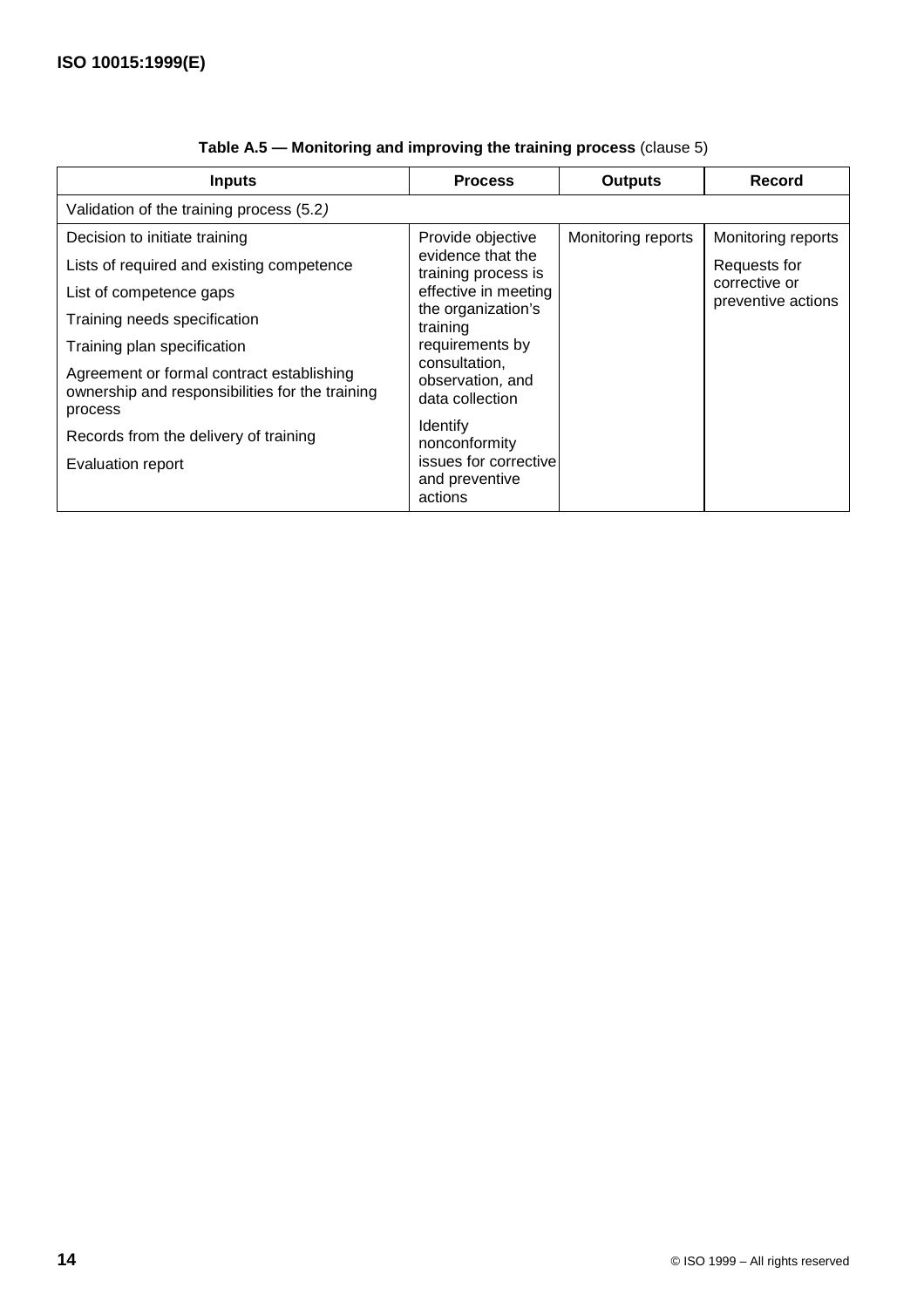| <b>Inputs</b>                                                                                           | <b>Process</b>                                                          | <b>Outputs</b>     | Record                              |
|---------------------------------------------------------------------------------------------------------|-------------------------------------------------------------------------|--------------------|-------------------------------------|
| Validation of the training process (5.2)                                                                |                                                                         |                    |                                     |
| Decision to initiate training                                                                           | Provide objective                                                       | Monitoring reports | Monitoring reports                  |
| Lists of required and existing competence                                                               | evidence that the<br>training process is                                |                    | Requests for                        |
| List of competence gaps                                                                                 | effective in meeting                                                    |                    | corrective or<br>preventive actions |
| Training needs specification                                                                            | the organization's<br>training                                          |                    |                                     |
| Training plan specification                                                                             | requirements by<br>consultation.<br>observation, and<br>data collection |                    |                                     |
| Agreement or formal contract establishing<br>ownership and responsibilities for the training<br>process |                                                                         |                    |                                     |
| Records from the delivery of training                                                                   | <b>Identify</b><br>nonconformity                                        |                    |                                     |
| Evaluation report                                                                                       | issues for corrective<br>and preventive<br>actions                      |                    |                                     |

|  |  | Table A.5 - Monitoring and improving the training process (clause 5) |  |
|--|--|----------------------------------------------------------------------|--|
|  |  |                                                                      |  |